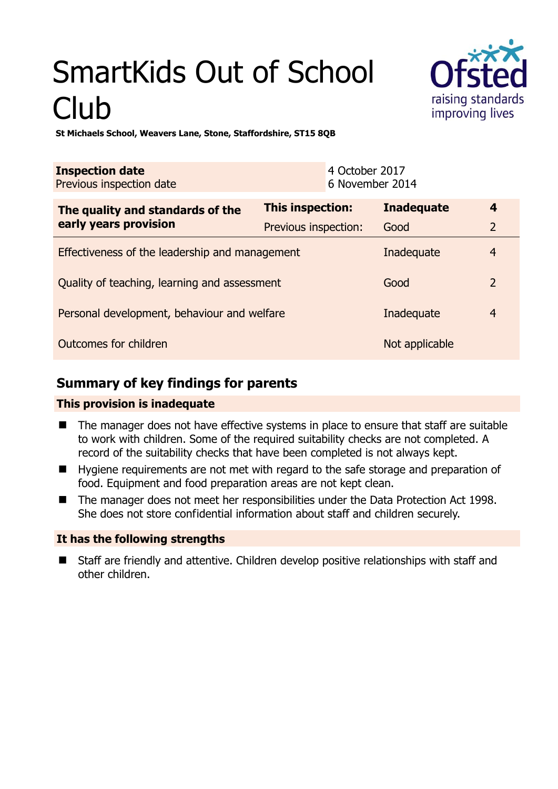# SmartKids Out of School Club



**St Michaels School, Weavers Lane, Stone, Staffordshire, ST15 8QB** 

| <b>Inspection date</b><br>Previous inspection date |                      | 4 October 2017<br>6 November 2014 |                   |                         |
|----------------------------------------------------|----------------------|-----------------------------------|-------------------|-------------------------|
| The quality and standards of the                   | This inspection:     |                                   | <b>Inadequate</b> | $\overline{\mathbf{4}}$ |
| early years provision                              | Previous inspection: |                                   | Good              | $\overline{2}$          |
| Effectiveness of the leadership and management     |                      |                                   | Inadequate        | $\overline{4}$          |
| Quality of teaching, learning and assessment       |                      |                                   | Good              | $\overline{2}$          |
| Personal development, behaviour and welfare        |                      |                                   | Inadequate        | $\overline{4}$          |
| Outcomes for children                              |                      |                                   | Not applicable    |                         |

# **Summary of key findings for parents**

## **This provision is inadequate**

- The manager does not have effective systems in place to ensure that staff are suitable to work with children. Some of the required suitability checks are not completed. A record of the suitability checks that have been completed is not always kept.
- Hygiene requirements are not met with regard to the safe storage and preparation of food. Equipment and food preparation areas are not kept clean.
- The manager does not meet her responsibilities under the Data Protection Act 1998. She does not store confidential information about staff and children securely.

## **It has the following strengths**

 Staff are friendly and attentive. Children develop positive relationships with staff and other children.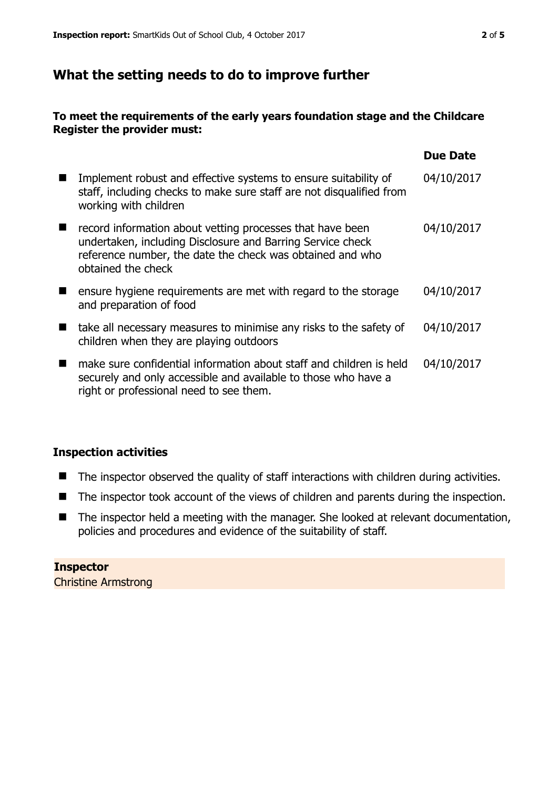## **What the setting needs to do to improve further**

### **To meet the requirements of the early years foundation stage and the Childcare Register the provider must:**

|                                                                                                                                                                                                            | <b>Due Date</b> |
|------------------------------------------------------------------------------------------------------------------------------------------------------------------------------------------------------------|-----------------|
| Implement robust and effective systems to ensure suitability of<br>staff, including checks to make sure staff are not disqualified from<br>working with children                                           | 04/10/2017      |
| record information about vetting processes that have been<br>undertaken, including Disclosure and Barring Service check<br>reference number, the date the check was obtained and who<br>obtained the check | 04/10/2017      |
| ensure hygiene requirements are met with regard to the storage<br>and preparation of food                                                                                                                  | 04/10/2017      |
| take all necessary measures to minimise any risks to the safety of<br>children when they are playing outdoors                                                                                              | 04/10/2017      |
| make sure confidential information about staff and children is held<br>securely and only accessible and available to those who have a<br>right or professional need to see them.                           | 04/10/2017      |

### **Inspection activities**

- The inspector observed the quality of staff interactions with children during activities.
- The inspector took account of the views of children and parents during the inspection.
- The inspector held a meeting with the manager. She looked at relevant documentation, policies and procedures and evidence of the suitability of staff.

**Inspector**  Christine Armstrong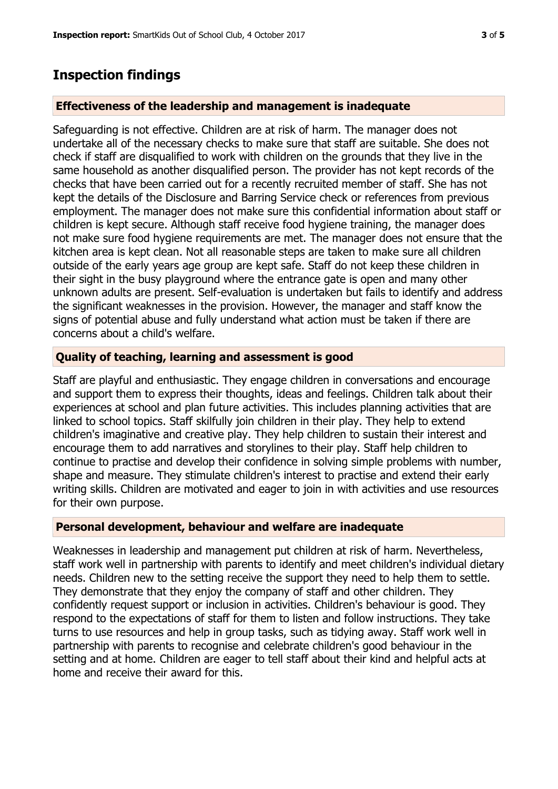## **Inspection findings**

#### **Effectiveness of the leadership and management is inadequate**

Safeguarding is not effective. Children are at risk of harm. The manager does not undertake all of the necessary checks to make sure that staff are suitable. She does not check if staff are disqualified to work with children on the grounds that they live in the same household as another disqualified person. The provider has not kept records of the checks that have been carried out for a recently recruited member of staff. She has not kept the details of the Disclosure and Barring Service check or references from previous employment. The manager does not make sure this confidential information about staff or children is kept secure. Although staff receive food hygiene training, the manager does not make sure food hygiene requirements are met. The manager does not ensure that the kitchen area is kept clean. Not all reasonable steps are taken to make sure all children outside of the early years age group are kept safe. Staff do not keep these children in their sight in the busy playground where the entrance gate is open and many other unknown adults are present. Self-evaluation is undertaken but fails to identify and address the significant weaknesses in the provision. However, the manager and staff know the signs of potential abuse and fully understand what action must be taken if there are concerns about a child's welfare.

#### **Quality of teaching, learning and assessment is good**

Staff are playful and enthusiastic. They engage children in conversations and encourage and support them to express their thoughts, ideas and feelings. Children talk about their experiences at school and plan future activities. This includes planning activities that are linked to school topics. Staff skilfully join children in their play. They help to extend children's imaginative and creative play. They help children to sustain their interest and encourage them to add narratives and storylines to their play. Staff help children to continue to practise and develop their confidence in solving simple problems with number, shape and measure. They stimulate children's interest to practise and extend their early writing skills. Children are motivated and eager to join in with activities and use resources for their own purpose.

#### **Personal development, behaviour and welfare are inadequate**

Weaknesses in leadership and management put children at risk of harm. Nevertheless, staff work well in partnership with parents to identify and meet children's individual dietary needs. Children new to the setting receive the support they need to help them to settle. They demonstrate that they enjoy the company of staff and other children. They confidently request support or inclusion in activities. Children's behaviour is good. They respond to the expectations of staff for them to listen and follow instructions. They take turns to use resources and help in group tasks, such as tidying away. Staff work well in partnership with parents to recognise and celebrate children's good behaviour in the setting and at home. Children are eager to tell staff about their kind and helpful acts at home and receive their award for this.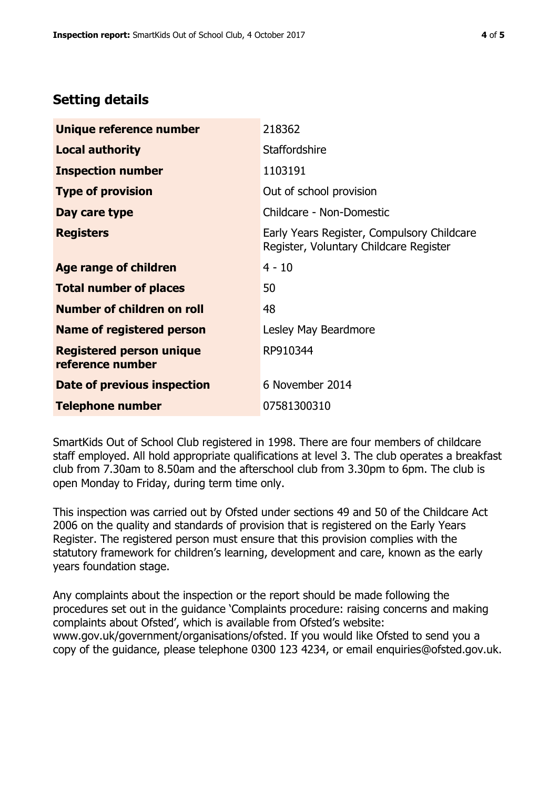# **Setting details**

| Unique reference number                             | 218362                                                                               |
|-----------------------------------------------------|--------------------------------------------------------------------------------------|
| <b>Local authority</b>                              | <b>Staffordshire</b>                                                                 |
| <b>Inspection number</b>                            | 1103191                                                                              |
| <b>Type of provision</b>                            | Out of school provision                                                              |
| Day care type                                       | Childcare - Non-Domestic                                                             |
| <b>Registers</b>                                    | Early Years Register, Compulsory Childcare<br>Register, Voluntary Childcare Register |
| Age range of children                               | $4 - 10$                                                                             |
| <b>Total number of places</b>                       | 50                                                                                   |
| Number of children on roll                          | 48                                                                                   |
| <b>Name of registered person</b>                    | Lesley May Beardmore                                                                 |
| <b>Registered person unique</b><br>reference number | RP910344                                                                             |
| <b>Date of previous inspection</b>                  | 6 November 2014                                                                      |
| <b>Telephone number</b>                             | 07581300310                                                                          |

SmartKids Out of School Club registered in 1998. There are four members of childcare staff employed. All hold appropriate qualifications at level 3. The club operates a breakfast club from 7.30am to 8.50am and the afterschool club from 3.30pm to 6pm. The club is open Monday to Friday, during term time only.

This inspection was carried out by Ofsted under sections 49 and 50 of the Childcare Act 2006 on the quality and standards of provision that is registered on the Early Years Register. The registered person must ensure that this provision complies with the statutory framework for children's learning, development and care, known as the early years foundation stage.

Any complaints about the inspection or the report should be made following the procedures set out in the guidance 'Complaints procedure: raising concerns and making complaints about Ofsted', which is available from Ofsted's website: www.gov.uk/government/organisations/ofsted. If you would like Ofsted to send you a copy of the guidance, please telephone 0300 123 4234, or email enquiries@ofsted.gov.uk.